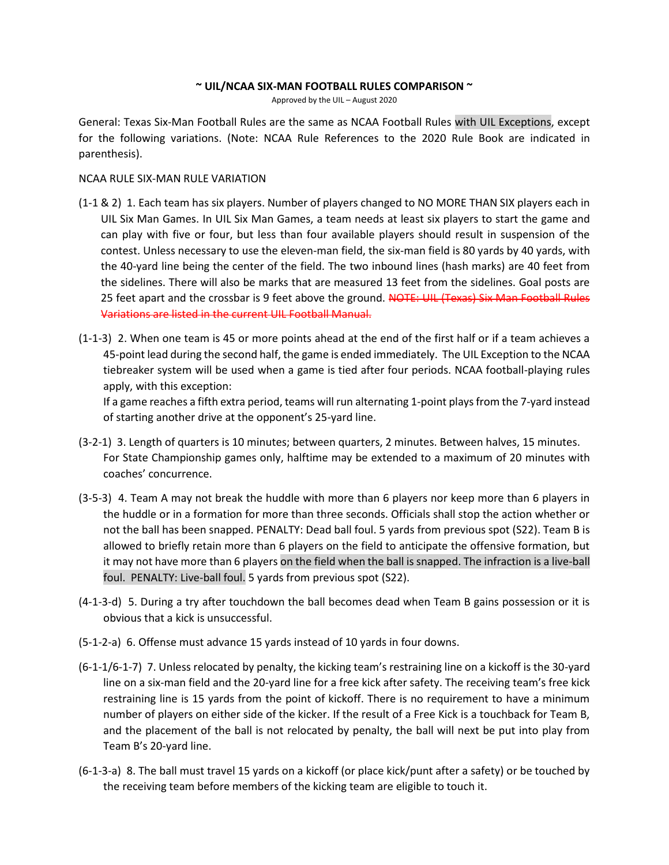#### **~ UIL/NCAA SIX-MAN FOOTBALL RULES COMPARISON ~**

Approved by the UIL – August 2020

General: Texas Six-Man Football Rules are the same as NCAA Football Rules with UIL Exceptions, except for the following variations. (Note: NCAA Rule References to the 2020 Rule Book are indicated in parenthesis).

#### NCAA RULE SIX-MAN RULE VARIATION

- (1-1 & 2) 1. Each team has six players. Number of players changed to NO MORE THAN SIX players each in UIL Six Man Games. In UIL Six Man Games, a team needs at least six players to start the game and can play with five or four, but less than four available players should result in suspension of the contest. Unless necessary to use the eleven-man field, the six-man field is 80 yards by 40 yards, with the 40-yard line being the center of the field. The two inbound lines (hash marks) are 40 feet from the sidelines. There will also be marks that are measured 13 feet from the sidelines. Goal posts are 25 feet apart and the crossbar is 9 feet above the ground. NOTE: UIL (Texas) Six Man Football Rules Variations are listed in the current UIL Football Manual.
- (1-1-3) 2. When one team is 45 or more points ahead at the end of the first half or if a team achieves a 45-point lead during the second half, the game is ended immediately. The UIL Exception to the NCAA tiebreaker system will be used when a game is tied after four periods. NCAA football-playing rules apply, with this exception:

If a game reaches a fifth extra period, teams will run alternating 1-point plays from the 7-yard instead of starting another drive at the opponent's 25-yard line.

- (3-2-1) 3. Length of quarters is 10 minutes; between quarters, 2 minutes. Between halves, 15 minutes. For State Championship games only, halftime may be extended to a maximum of 20 minutes with coaches' concurrence.
- (3-5-3) 4. Team A may not break the huddle with more than 6 players nor keep more than 6 players in the huddle or in a formation for more than three seconds. Officials shall stop the action whether or not the ball has been snapped. PENALTY: Dead ball foul. 5 yards from previous spot (S22). Team B is allowed to briefly retain more than 6 players on the field to anticipate the offensive formation, but it may not have more than 6 players on the field when the ball issnapped. The infraction is a live-ball foul. PENALTY: Live-ball foul. 5 yards from previous spot (S22).
- (4-1-3-d) 5. During a try after touchdown the ball becomes dead when Team B gains possession or it is obvious that a kick is unsuccessful.
- (5-1-2-a) 6. Offense must advance 15 yards instead of 10 yards in four downs.
- (6-1-1/6-1-7) 7. Unless relocated by penalty, the kicking team's restraining line on a kickoff is the 30-yard line on a six-man field and the 20-yard line for a free kick after safety. The receiving team's free kick restraining line is 15 yards from the point of kickoff. There is no requirement to have a minimum number of players on either side of the kicker. If the result of a Free Kick is a touchback for Team B, and the placement of the ball is not relocated by penalty, the ball will next be put into play from Team B's 20-yard line.
- (6-1-3-a) 8. The ball must travel 15 yards on a kickoff (or place kick/punt after a safety) or be touched by the receiving team before members of the kicking team are eligible to touch it.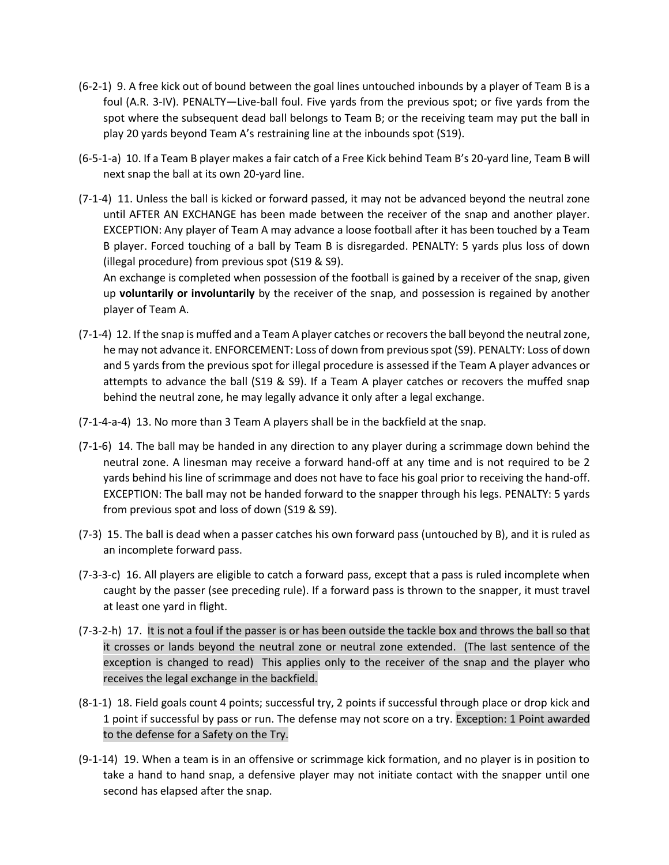- (6-2-1) 9. A free kick out of bound between the goal lines untouched inbounds by a player of Team B is a foul (A.R. 3-IV). PENALTY—Live-ball foul. Five yards from the previous spot; or five yards from the spot where the subsequent dead ball belongs to Team B; or the receiving team may put the ball in play 20 yards beyond Team A's restraining line at the inbounds spot (S19).
- (6-5-1-a) 10. If a Team B player makes a fair catch of a Free Kick behind Team B's 20-yard line, Team B will next snap the ball at its own 20-yard line.
- (7-1-4) 11. Unless the ball is kicked or forward passed, it may not be advanced beyond the neutral zone until AFTER AN EXCHANGE has been made between the receiver of the snap and another player. EXCEPTION: Any player of Team A may advance a loose football after it has been touched by a Team B player. Forced touching of a ball by Team B is disregarded. PENALTY: 5 yards plus loss of down (illegal procedure) from previous spot (S19 & S9).

An exchange is completed when possession of the football is gained by a receiver of the snap, given up **voluntarily or involuntarily** by the receiver of the snap, and possession is regained by another player of Team A.

- (7-1-4) 12. If the snap is muffed and a Team A player catches or recovers the ball beyond the neutral zone, he may not advance it. ENFORCEMENT: Loss of down from previous spot (S9). PENALTY: Loss of down and 5 yards from the previous spot for illegal procedure is assessed if the Team A player advances or attempts to advance the ball (S19 & S9). If a Team A player catches or recovers the muffed snap behind the neutral zone, he may legally advance it only after a legal exchange.
- (7-1-4-a-4) 13. No more than 3 Team A players shall be in the backfield at the snap.
- (7-1-6) 14. The ball may be handed in any direction to any player during a scrimmage down behind the neutral zone. A linesman may receive a forward hand-off at any time and is not required to be 2 yards behind his line of scrimmage and does not have to face his goal prior to receiving the hand-off. EXCEPTION: The ball may not be handed forward to the snapper through his legs. PENALTY: 5 yards from previous spot and loss of down (S19 & S9).
- (7-3) 15. The ball is dead when a passer catches his own forward pass (untouched by B), and it is ruled as an incomplete forward pass.
- (7-3-3-c) 16. All players are eligible to catch a forward pass, except that a pass is ruled incomplete when caught by the passer (see preceding rule). If a forward pass is thrown to the snapper, it must travel at least one yard in flight.
- (7-3-2-h) 17. It is not a foul if the passer is or has been outside the tackle box and throws the ball so that it crosses or lands beyond the neutral zone or neutral zone extended. (The last sentence of the exception is changed to read) This applies only to the receiver of the snap and the player who receives the legal exchange in the backfield.
- (8-1-1) 18. Field goals count 4 points; successful try, 2 points if successful through place or drop kick and 1 point if successful by pass or run. The defense may not score on a try. Exception: 1 Point awarded to the defense for a Safety on the Try.
- (9-1-14) 19. When a team is in an offensive or scrimmage kick formation, and no player is in position to take a hand to hand snap, a defensive player may not initiate contact with the snapper until one second has elapsed after the snap.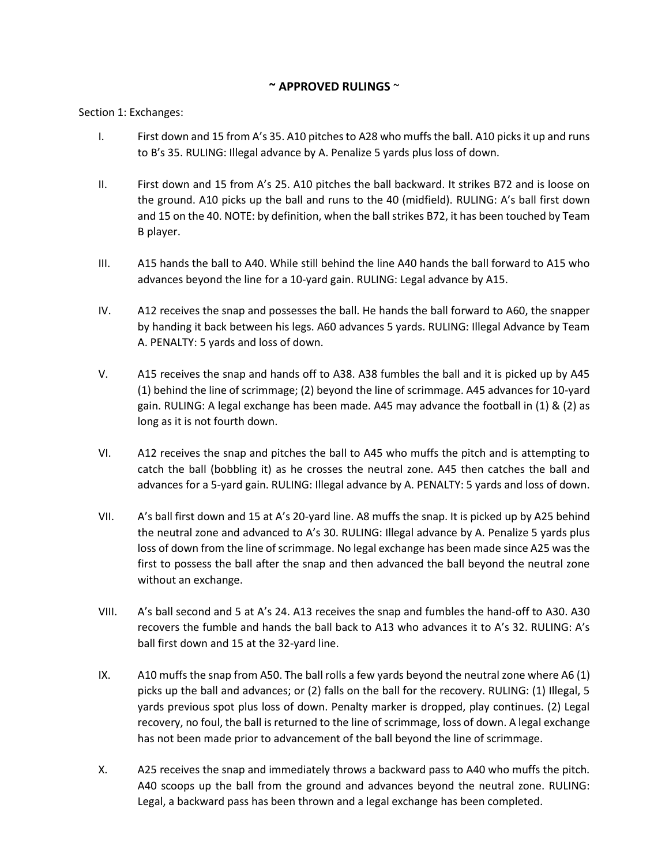## **~ APPROVED RULINGS** ~

#### Section 1: Exchanges:

- I. First down and 15 from A's 35. A10 pitches to A28 who muffs the ball. A10 picks it up and runs to B's 35. RULING: Illegal advance by A. Penalize 5 yards plus loss of down.
- II. First down and 15 from A's 25. A10 pitches the ball backward. It strikes B72 and is loose on the ground. A10 picks up the ball and runs to the 40 (midfield). RULING: A's ball first down and 15 on the 40. NOTE: by definition, when the ball strikes B72, it has been touched by Team B player.
- III. A15 hands the ball to A40. While still behind the line A40 hands the ball forward to A15 who advances beyond the line for a 10-yard gain. RULING: Legal advance by A15.
- IV. A12 receives the snap and possesses the ball. He hands the ball forward to A60, the snapper by handing it back between his legs. A60 advances 5 yards. RULING: Illegal Advance by Team A. PENALTY: 5 yards and loss of down.
- V. A15 receives the snap and hands off to A38. A38 fumbles the ball and it is picked up by A45 (1) behind the line of scrimmage; (2) beyond the line of scrimmage. A45 advances for 10-yard gain. RULING: A legal exchange has been made. A45 may advance the football in (1) & (2) as long as it is not fourth down.
- VI. A12 receives the snap and pitches the ball to A45 who muffs the pitch and is attempting to catch the ball (bobbling it) as he crosses the neutral zone. A45 then catches the ball and advances for a 5-yard gain. RULING: Illegal advance by A. PENALTY: 5 yards and loss of down.
- VII. A's ball first down and 15 at A's 20-yard line. A8 muffs the snap. It is picked up by A25 behind the neutral zone and advanced to A's 30. RULING: Illegal advance by A. Penalize 5 yards plus loss of down from the line of scrimmage. No legal exchange has been made since A25 was the first to possess the ball after the snap and then advanced the ball beyond the neutral zone without an exchange.
- VIII. A's ball second and 5 at A's 24. A13 receives the snap and fumbles the hand-off to A30. A30 recovers the fumble and hands the ball back to A13 who advances it to A's 32. RULING: A's ball first down and 15 at the 32-yard line.
- IX. A10 muffs the snap from A50. The ball rolls a few yards beyond the neutral zone where A6 (1) picks up the ball and advances; or (2) falls on the ball for the recovery. RULING: (1) Illegal, 5 yards previous spot plus loss of down. Penalty marker is dropped, play continues. (2) Legal recovery, no foul, the ball is returned to the line of scrimmage, loss of down. A legal exchange has not been made prior to advancement of the ball beyond the line of scrimmage.
- X. A25 receives the snap and immediately throws a backward pass to A40 who muffs the pitch. A40 scoops up the ball from the ground and advances beyond the neutral zone. RULING: Legal, a backward pass has been thrown and a legal exchange has been completed.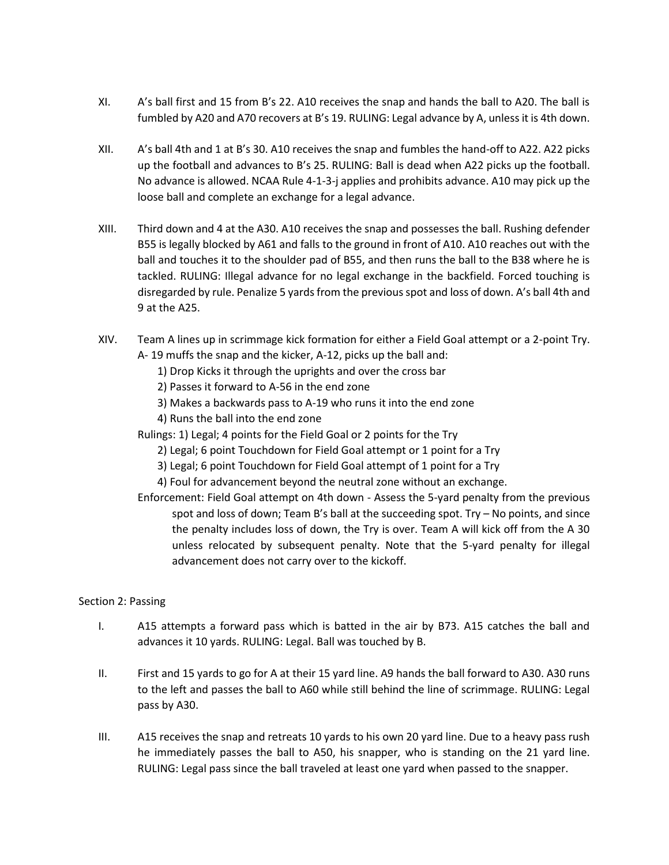- XI. A's ball first and 15 from B's 22. A10 receives the snap and hands the ball to A20. The ball is fumbled by A20 and A70 recovers at B's 19. RULING: Legal advance by A, unless it is 4th down.
- XII. A's ball 4th and 1 at B's 30. A10 receives the snap and fumbles the hand-off to A22. A22 picks up the football and advances to B's 25. RULING: Ball is dead when A22 picks up the football. No advance is allowed. NCAA Rule 4-1-3-j applies and prohibits advance. A10 may pick up the loose ball and complete an exchange for a legal advance.
- XIII. Third down and 4 at the A30. A10 receives the snap and possesses the ball. Rushing defender B55 is legally blocked by A61 and falls to the ground in front of A10. A10 reaches out with the ball and touches it to the shoulder pad of B55, and then runs the ball to the B38 where he is tackled. RULING: Illegal advance for no legal exchange in the backfield. Forced touching is disregarded by rule. Penalize 5 yards from the previous spot and loss of down. A's ball 4th and 9 at the A25.
- XIV. Team A lines up in scrimmage kick formation for either a Field Goal attempt or a 2-point Try. A- 19 muffs the snap and the kicker, A-12, picks up the ball and:
	- 1) Drop Kicks it through the uprights and over the cross bar
	- 2) Passes it forward to A-56 in the end zone
	- 3) Makes a backwards pass to A-19 who runs it into the end zone
	- 4) Runs the ball into the end zone
	- Rulings: 1) Legal; 4 points for the Field Goal or 2 points for the Try
		- 2) Legal; 6 point Touchdown for Field Goal attempt or 1 point for a Try
		- 3) Legal; 6 point Touchdown for Field Goal attempt of 1 point for a Try
		- 4) Foul for advancement beyond the neutral zone without an exchange.
	- Enforcement: Field Goal attempt on 4th down Assess the 5-yard penalty from the previous spot and loss of down; Team B's ball at the succeeding spot. Try – No points, and since the penalty includes loss of down, the Try is over. Team A will kick off from the A 30 unless relocated by subsequent penalty. Note that the 5-yard penalty for illegal advancement does not carry over to the kickoff.

### Section 2: Passing

- I. A15 attempts a forward pass which is batted in the air by B73. A15 catches the ball and advances it 10 yards. RULING: Legal. Ball was touched by B.
- II. First and 15 yards to go for A at their 15 yard line. A9 hands the ball forward to A30. A30 runs to the left and passes the ball to A60 while still behind the line of scrimmage. RULING: Legal pass by A30.
- III. A15 receives the snap and retreats 10 yards to his own 20 yard line. Due to a heavy pass rush he immediately passes the ball to A50, his snapper, who is standing on the 21 yard line. RULING: Legal pass since the ball traveled at least one yard when passed to the snapper.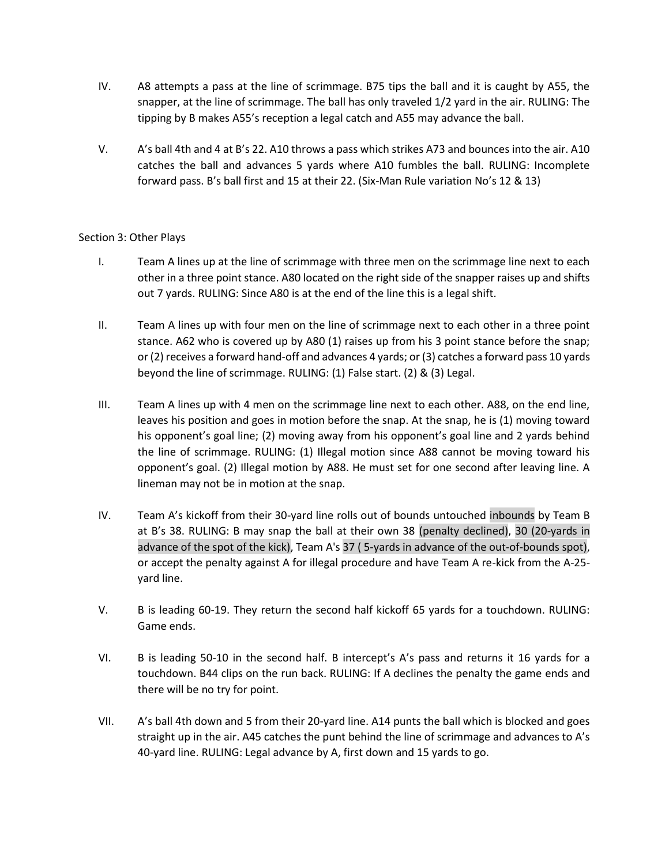- IV. A8 attempts a pass at the line of scrimmage. B75 tips the ball and it is caught by A55, the snapper, at the line of scrimmage. The ball has only traveled 1/2 yard in the air. RULING: The tipping by B makes A55's reception a legal catch and A55 may advance the ball.
- V. A's ball 4th and 4 at B's 22. A10 throws a pass which strikes A73 and bounces into the air. A10 catches the ball and advances 5 yards where A10 fumbles the ball. RULING: Incomplete forward pass. B's ball first and 15 at their 22. (Six-Man Rule variation No's 12 & 13)

### Section 3: Other Plays

- I. Team A lines up at the line of scrimmage with three men on the scrimmage line next to each other in a three point stance. A80 located on the right side of the snapper raises up and shifts out 7 yards. RULING: Since A80 is at the end of the line this is a legal shift.
- II. Team A lines up with four men on the line of scrimmage next to each other in a three point stance. A62 who is covered up by A80 (1) raises up from his 3 point stance before the snap; or (2) receives a forward hand-off and advances 4 yards; or (3) catches a forward pass 10 yards beyond the line of scrimmage. RULING: (1) False start. (2) & (3) Legal.
- III. Team A lines up with 4 men on the scrimmage line next to each other. A88, on the end line, leaves his position and goes in motion before the snap. At the snap, he is (1) moving toward his opponent's goal line; (2) moving away from his opponent's goal line and 2 yards behind the line of scrimmage. RULING: (1) Illegal motion since A88 cannot be moving toward his opponent's goal. (2) Illegal motion by A88. He must set for one second after leaving line. A lineman may not be in motion at the snap.
- IV. Team A's kickoff from their 30-yard line rolls out of bounds untouched inbounds by Team B at B's 38. RULING: B may snap the ball at their own 38 (penalty declined), 30 (20-yards in advance of the spot of the kick), Team A's 37 ( 5-yards in advance of the out-of-bounds spot), or accept the penalty against A for illegal procedure and have Team A re-kick from the A-25 yard line.
- V. B is leading 60-19. They return the second half kickoff 65 yards for a touchdown. RULING: Game ends.
- VI. B is leading 50-10 in the second half. B intercept's A's pass and returns it 16 yards for a touchdown. B44 clips on the run back. RULING: If A declines the penalty the game ends and there will be no try for point.
- VII. A's ball 4th down and 5 from their 20-yard line. A14 punts the ball which is blocked and goes straight up in the air. A45 catches the punt behind the line of scrimmage and advances to A's 40-yard line. RULING: Legal advance by A, first down and 15 yards to go.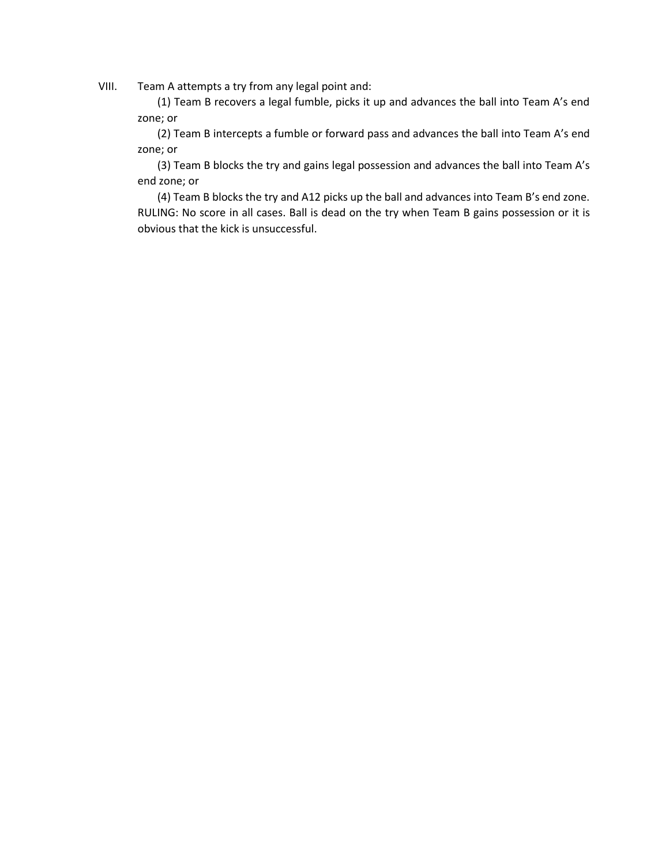VIII. Team A attempts a try from any legal point and:

(1) Team B recovers a legal fumble, picks it up and advances the ball into Team A's end zone; or

(2) Team B intercepts a fumble or forward pass and advances the ball into Team A's end zone; or

(3) Team B blocks the try and gains legal possession and advances the ball into Team A's end zone; or

(4) Team B blocks the try and A12 picks up the ball and advances into Team B's end zone. RULING: No score in all cases. Ball is dead on the try when Team B gains possession or it is obvious that the kick is unsuccessful.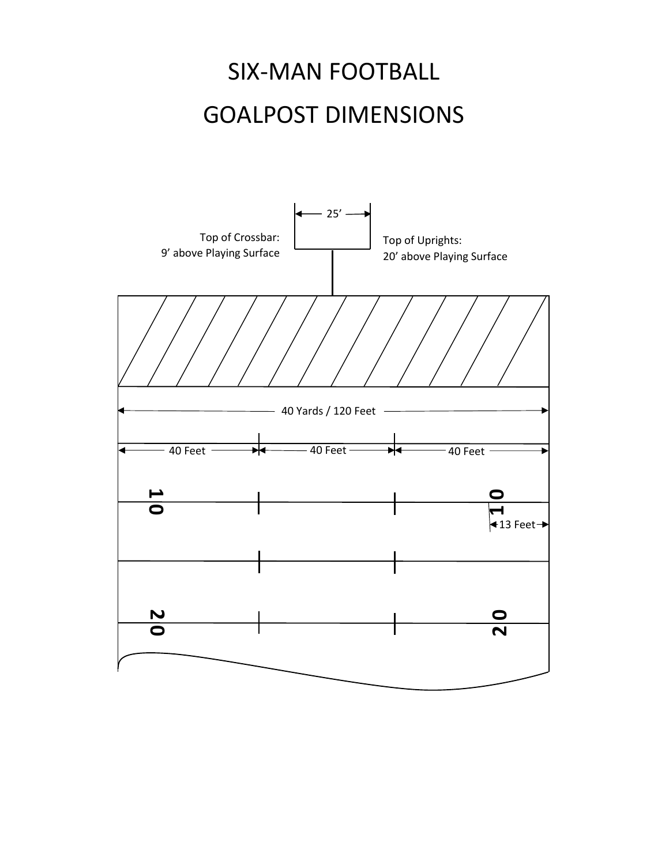# SIX-MAN FOOTBALL GOALPOST DIMENSIONS